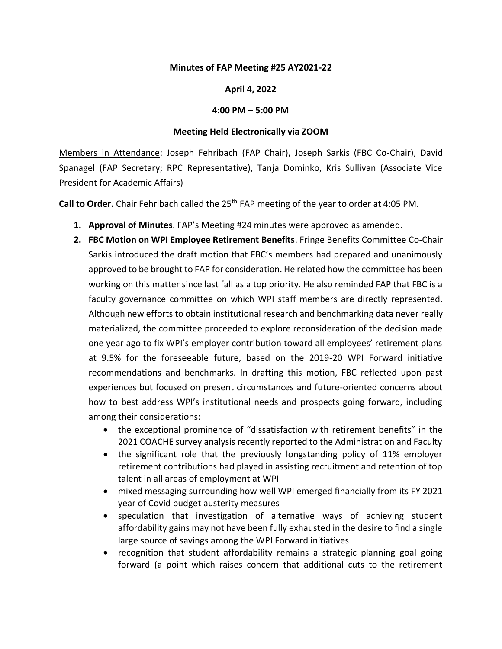## **Minutes of FAP Meeting #25 AY2021-22**

## **April 4, 2022**

## **4:00 PM – 5:00 PM**

## **Meeting Held Electronically via ZOOM**

Members in Attendance: Joseph Fehribach (FAP Chair), Joseph Sarkis (FBC Co-Chair), David Spanagel (FAP Secretary; RPC Representative), Tanja Dominko, Kris Sullivan (Associate Vice President for Academic Affairs)

Call to Order. Chair Fehribach called the 25<sup>th</sup> FAP meeting of the year to order at 4:05 PM.

- **1. Approval of Minutes**. FAP's Meeting #24 minutes were approved as amended.
- **2. FBC Motion on WPI Employee Retirement Benefits**. Fringe Benefits Committee Co-Chair Sarkis introduced the draft motion that FBC's members had prepared and unanimously approved to be brought to FAP for consideration. He related how the committee has been working on this matter since last fall as a top priority. He also reminded FAP that FBC is a faculty governance committee on which WPI staff members are directly represented. Although new efforts to obtain institutional research and benchmarking data never really materialized, the committee proceeded to explore reconsideration of the decision made one year ago to fix WPI's employer contribution toward all employees' retirement plans at 9.5% for the foreseeable future, based on the 2019-20 WPI Forward initiative recommendations and benchmarks. In drafting this motion, FBC reflected upon past experiences but focused on present circumstances and future-oriented concerns about how to best address WPI's institutional needs and prospects going forward, including among their considerations:
	- the exceptional prominence of "dissatisfaction with retirement benefits" in the 2021 COACHE survey analysis recently reported to the Administration and Faculty
	- the significant role that the previously longstanding policy of 11% employer retirement contributions had played in assisting recruitment and retention of top talent in all areas of employment at WPI
	- mixed messaging surrounding how well WPI emerged financially from its FY 2021 year of Covid budget austerity measures
	- speculation that investigation of alternative ways of achieving student affordability gains may not have been fully exhausted in the desire to find a single large source of savings among the WPI Forward initiatives
	- recognition that student affordability remains a strategic planning goal going forward (a point which raises concern that additional cuts to the retirement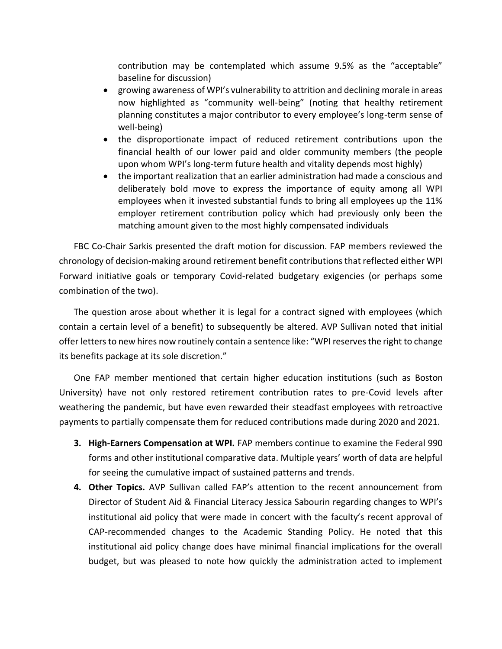contribution may be contemplated which assume 9.5% as the "acceptable" baseline for discussion)

- growing awareness of WPI's vulnerability to attrition and declining morale in areas now highlighted as "community well-being" (noting that healthy retirement planning constitutes a major contributor to every employee's long-term sense of well-being)
- the disproportionate impact of reduced retirement contributions upon the financial health of our lower paid and older community members (the people upon whom WPI's long-term future health and vitality depends most highly)
- the important realization that an earlier administration had made a conscious and deliberately bold move to express the importance of equity among all WPI employees when it invested substantial funds to bring all employees up the 11% employer retirement contribution policy which had previously only been the matching amount given to the most highly compensated individuals

FBC Co-Chair Sarkis presented the draft motion for discussion. FAP members reviewed the chronology of decision-making around retirement benefit contributions that reflected either WPI Forward initiative goals or temporary Covid-related budgetary exigencies (or perhaps some combination of the two).

The question arose about whether it is legal for a contract signed with employees (which contain a certain level of a benefit) to subsequently be altered. AVP Sullivan noted that initial offer letters to new hires now routinely contain a sentence like: "WPI reserves the right to change its benefits package at its sole discretion."

One FAP member mentioned that certain higher education institutions (such as Boston University) have not only restored retirement contribution rates to pre-Covid levels after weathering the pandemic, but have even rewarded their steadfast employees with retroactive payments to partially compensate them for reduced contributions made during 2020 and 2021.

- **3. High-Earners Compensation at WPI.** FAP members continue to examine the Federal 990 forms and other institutional comparative data. Multiple years' worth of data are helpful for seeing the cumulative impact of sustained patterns and trends.
- **4. Other Topics.** AVP Sullivan called FAP's attention to the recent announcement from Director of Student Aid & Financial Literacy Jessica Sabourin regarding changes to WPI's institutional aid policy that were made in concert with the faculty's recent approval of CAP-recommended changes to the Academic Standing Policy. He noted that this institutional aid policy change does have minimal financial implications for the overall budget, but was pleased to note how quickly the administration acted to implement